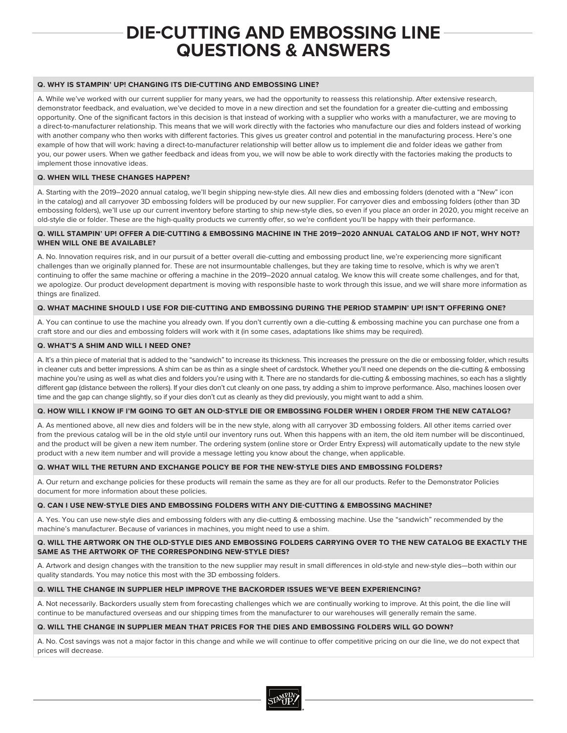# **DIE-CUTTING AND EMBOSSING LINE QUESTIONS & ANSWERS**

# **Q. WHY IS STAMPIN' UP! CHANGING ITS DIE-CUTTING AND EMBOSSING LINE?**

A. While we've worked with our current supplier for many years, we had the opportunity to reassess this relationship. After extensive research, demonstrator feedback, and evaluation, we've decided to move in a new direction and set the foundation for a greater die-cutting and embossing opportunity. One of the significant factors in this decision is that instead of working with a supplier who works with a manufacturer, we are moving to a direct-to-manufacturer relationship. This means that we will work directly with the factories who manufacture our dies and folders instead of working with another company who then works with different factories. This gives us greater control and potential in the manufacturing process. Here's one example of how that will work: having a direct-to-manufacturer relationship will better allow us to implement die and folder ideas we gather from you, our power users. When we gather feedback and ideas from you, we will now be able to work directly with the factories making the products to implement those innovative ideas.

### **Q. WHEN WILL THESE CHANGES HAPPEN?**

A. Starting with the 2019–2020 annual catalog, we'll begin shipping new-style dies. All new dies and embossing folders (denoted with a "New" icon in the catalog) and all carryover 3D embossing folders will be produced by our new supplier. For carryover dies and embossing folders (other than 3D embossing folders), we'll use up our current inventory before starting to ship new-style dies, so even if you place an order in 2020, you might receive an old-style die or folder. These are the high-quality products we currently offer, so we're confident you'll be happy with their performance.

# **Q. WILL STAMPIN' UP! OFFER A DIE-CUTTING & EMBOSSING MACHINE IN THE 2019–2020 ANNUAL CATALOG AND IF NOT, WHY NOT? WHEN WILL ONE BE AVAILABLE?**

A. No. Innovation requires risk, and in our pursuit of a better overall die-cutting and embossing product line, we're experiencing more significant challenges than we originally planned for. These are not insurmountable challenges, but they are taking time to resolve, which is why we aren't continuing to offer the same machine or offering a machine in the 2019–2020 annual catalog. We know this will create some challenges, and for that, we apologize. Our product development department is moving with responsible haste to work through this issue, and we will share more information as things are finalized.

#### **Q. WHAT MACHINE SHOULD I USE FOR DIE-CUTTING AND EMBOSSING DURING THE PERIOD STAMPIN' UP! ISN'T OFFERING ONE?**

A. You can continue to use the machine you already own. If you don't currently own a die-cutting & embossing machine you can purchase one from a craft store and our dies and embossing folders will work with it (in some cases, adaptations like shims may be required).

#### **Q. WHAT'S A SHIM AND WILL I NEED ONE?**

A. It's a thin piece of material that is added to the "sandwich" to increase its thickness. This increases the pressure on the die or embossing folder, which results in cleaner cuts and better impressions. A shim can be as thin as a single sheet of cardstock. Whether you'll need one depends on the die-cutting & embossing machine you're using as well as what dies and folders you're using with it. There are no standards for die-cutting & embossing machines, so each has a slightly different gap (distance between the rollers). If your dies don't cut cleanly on one pass, try adding a shim to improve performance. Also, machines loosen over time and the gap can change slightly, so if your dies don't cut as cleanly as they did previously, you might want to add a shim.

### **Q. HOW WILL I KNOW IF I'M GOING TO GET AN OLD-STYLE DIE OR EMBOSSING FOLDER WHEN I ORDER FROM THE NEW CATALOG?**

A. As mentioned above, all new dies and folders will be in the new style, along with all carryover 3D embossing folders. All other items carried over from the previous catalog will be in the old style until our inventory runs out. When this happens with an item, the old item number will be discontinued, and the product will be given a new item number. The ordering system (online store or Order Entry Express) will automatically update to the new style product with a new item number and will provide a message letting you know about the change, when applicable.

# **Q. WHAT WILL THE RETURN AND EXCHANGE POLICY BE FOR THE NEW-STYLE DIES AND EMBOSSING FOLDERS?**

A. Our return and exchange policies for these products will remain the same as they are for all our products. Refer to the Demonstrator Policies document for more information about these policies.

# **Q. CAN I USE NEW-STYLE DIES AND EMBOSSING FOLDERS WITH ANY DIE-CUTTING & EMBOSSING MACHINE?**

A. Yes. You can use new-style dies and embossing folders with any die-cutting & embossing machine. Use the "sandwich" recommended by the machine's manufacturer. Because of variances in machines, you might need to use a shim.

#### **Q. WILL THE ARTWORK ON THE OLD-STYLE DIES AND EMBOSSING FOLDERS CARRYING OVER TO THE NEW CATALOG BE EXACTLY THE SAME AS THE ARTWORK OF THE CORRESPONDING NEW-STYLE DIES?**

A. Artwork and design changes with the transition to the new supplier may result in small differences in old-style and new-style dies—both within our quality standards. You may notice this most with the 3D embossing folders.

# **Q. WILL THE CHANGE IN SUPPLIER HELP IMPROVE THE BACKORDER ISSUES WE'VE BEEN EXPERIENCING?**

A. Not necessarily. Backorders usually stem from forecasting challenges which we are continually working to improve. At this point, the die line will continue to be manufactured overseas and our shipping times from the manufacturer to our warehouses will generally remain the same.

#### **Q. WILL THE CHANGE IN SUPPLIER MEAN THAT PRICES FOR THE DIES AND EMBOSSING FOLDERS WILL GO DOWN?**

A. No. Cost savings was not a major factor in this change and while we will continue to offer competitive pricing on our die line, we do not expect that prices will decrease.